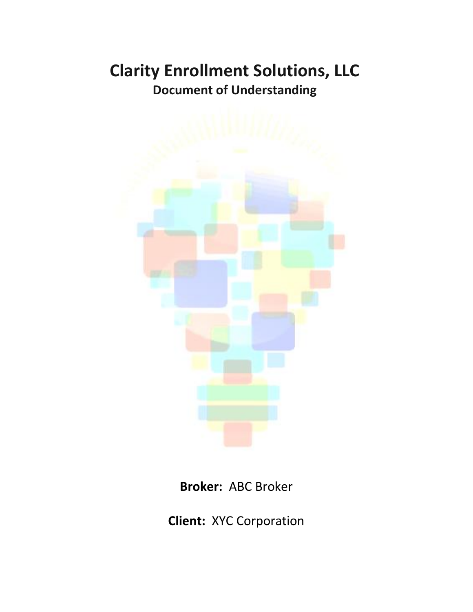# **Clarity Enrollment Solutions, LLC Document of Understanding**



**Broker:** ABC Broker

**Client:** XYC Corporation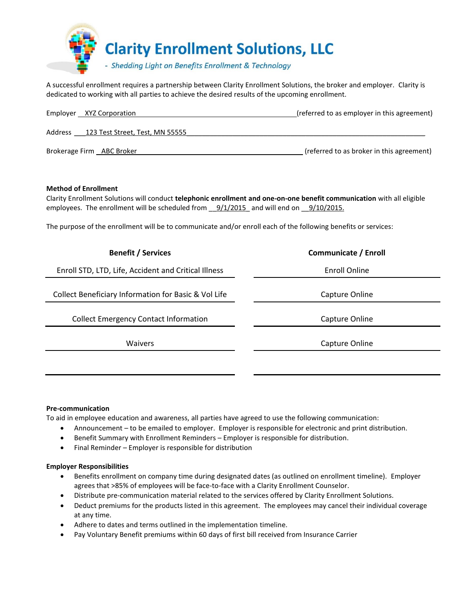

A successful enrollment requires a partnership between Clarity Enrollment Solutions, the broker and employer. Clarity is dedicated to working with all parties to achieve the desired results of the upcoming enrollment.

| Employer XYZ Corporation                   | (referred to as employer in this agreement) |
|--------------------------------------------|---------------------------------------------|
| 123 Test Street, Test, MN 55555<br>Address |                                             |
| Brokerage Firm ABC Broker                  | (referred to as broker in this agreement)   |

## **Method of Enrollment**

Clarity Enrollment Solutions will conduct **telephonic enrollment and one-on-one benefit communication** with all eligible employees. The enrollment will be scheduled from  $9/1/2015$  and will end on  $9/10/2015$ .

The purpose of the enrollment will be to communicate and/or enroll each of the following benefits or services:

| <b>Benefit / Services</b>                            | Communicate / Enroll |
|------------------------------------------------------|----------------------|
| Enroll STD, LTD, Life, Accident and Critical Illness | <b>Enroll Online</b> |
| Collect Beneficiary Information for Basic & Vol Life | Capture Online       |
| <b>Collect Emergency Contact Information</b>         | Capture Online       |
| <b>Waivers</b>                                       | Capture Online       |
|                                                      |                      |

### **Pre-communication**

To aid in employee education and awareness, all parties have agreed to use the following communication:

- Announcement to be emailed to employer. Employer is responsible for electronic and print distribution.
- Benefit Summary with Enrollment Reminders Employer is responsible for distribution.
- Final Reminder Employer is responsible for distribution

### **Employer Responsibilities**

- Benefits enrollment on company time during designated dates (as outlined on enrollment timeline). Employer agrees that >85% of employees will be face-to-face with a Clarity Enrollment Counselor.
- Distribute pre-communication material related to the services offered by Clarity Enrollment Solutions.
- Deduct premiums for the products listed in this agreement. The employees may cancel their individual coverage at any time.
- Adhere to dates and terms outlined in the implementation timeline.
- Pay Voluntary Benefit premiums within 60 days of first bill received from Insurance Carrier